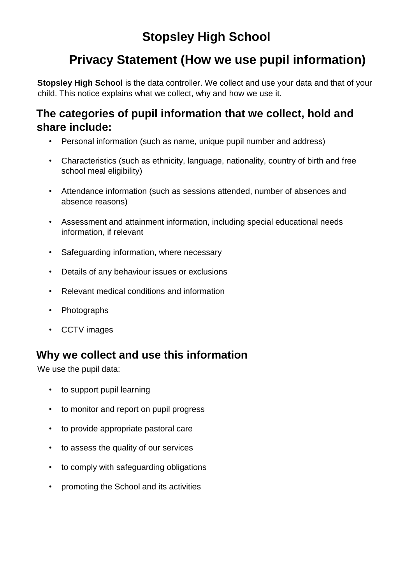# **Stopsley High School**

## **Privacy Statement (How we use pupil information)**

**Stopsley High School** is the data controller. We collect and use your data and that of your child. This notice explains what we collect, why and how we use it.

#### **The categories of pupil information that we collect, hold and share include:**

- Personal information (such as name, unique pupil number and address)
- Characteristics (such as ethnicity, language, nationality, country of birth and free school meal eligibility)
- Attendance information (such as sessions attended, number of absences and absence reasons)
- Assessment and attainment information, including special educational needs information, if relevant
- Safeguarding information, where necessary
- Details of any behaviour issues or exclusions
- Relevant medical conditions and information
- Photographs
- CCTV images

### **Why we collect and use this information**

We use the pupil data:

- to support pupil learning
- to monitor and report on pupil progress
- to provide appropriate pastoral care
- to assess the quality of our services
- to comply with safeguarding obligations
- promoting the School and its activities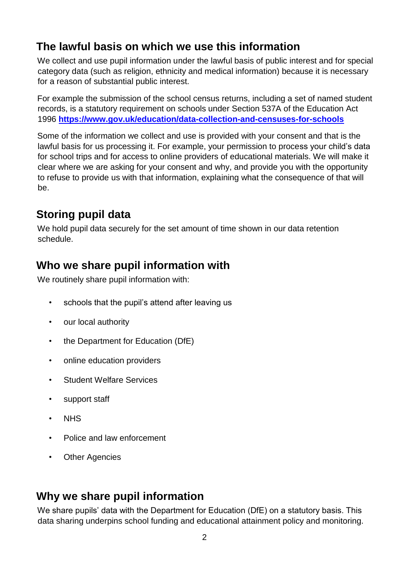### **The lawful basis on which we use this information**

We collect and use pupil information under the lawful basis of public interest and for special category data (such as religion, ethnicity and medical information) because it is necessary for a reason of substantial public interest.

For example the submission of the school census returns, including a set of named student records, is a statutory requirement on schools under Section 537A of the Education Act 1996 **<https://www.gov.uk/education/data-collection-and-censuses-for-schools>**

Some of the information we collect and use is provided with your consent and that is the lawful basis for us processing it. For example, your permission to process your child's data for school trips and for access to online providers of educational materials. We will make it clear where we are asking for your consent and why, and provide you with the opportunity to refuse to provide us with that information, explaining what the consequence of that will be.

### **Storing pupil data**

We hold pupil data securely for the set amount of time shown in our data retention schedule.

### **Who we share pupil information with**

We routinely share pupil information with:

- schools that the pupil's attend after leaving us
- our local authority
- the Department for Education (DfE)
- online education providers
- Student Welfare Services
- support staff
- NHS
- Police and law enforcement
- Other Agencies

### **Why we share pupil information**

We share pupils' data with the Department for Education (DfE) on a statutory basis. This data sharing underpins school funding and educational attainment policy and monitoring.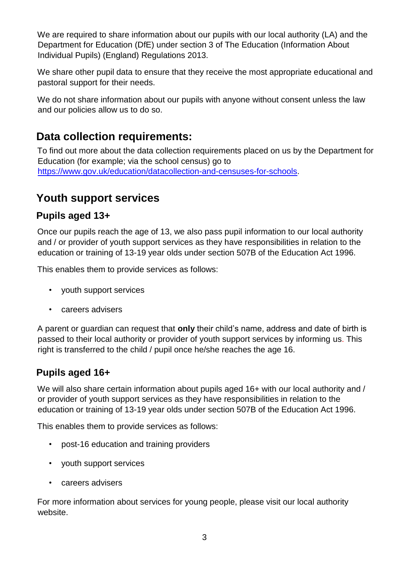We are required to share information about our pupils with our local authority (LA) and the Department for Education (DfE) under section 3 of The Education (Information About Individual Pupils) (England) Regulations 2013.

We share other pupil data to ensure that they receive the most appropriate educational and pastoral support for their needs.

We do not share information about our pupils with anyone without consent unless the law and our policies allow us to do so.

#### **Data collection requirements:**

To find out more about the data collection requirements placed on us by the Department for Education (for example; via the school census) go to [https://www.gov.uk/education/datacollection-and-censuses-for-schools.](https://www.gov.uk/education/data-collection-and-censuses-for-schools)

#### **Youth support services**

#### **Pupils aged 13+**

Once our pupils reach the age of 13, we also pass pupil information to our local authority and / or provider of youth support services as they have responsibilities in relation to the education or training of 13-19 year olds under section 507B of the Education Act 1996.

This enables them to provide services as follows:

- youth support services
- careers advisers

A parent or guardian can request that **only** their child's name, address and date of birth is passed to their local authority or provider of youth support services by informing us. This right is transferred to the child / pupil once he/she reaches the age 16.

#### **Pupils aged 16+**

We will also share certain information about pupils aged 16+ with our local authority and / or provider of youth support services as they have responsibilities in relation to the education or training of 13-19 year olds under section 507B of the Education Act 1996.

This enables them to provide services as follows:

- post-16 education and training providers
- youth support services
- careers advisers

For more information about services for young people, please visit our local authority website.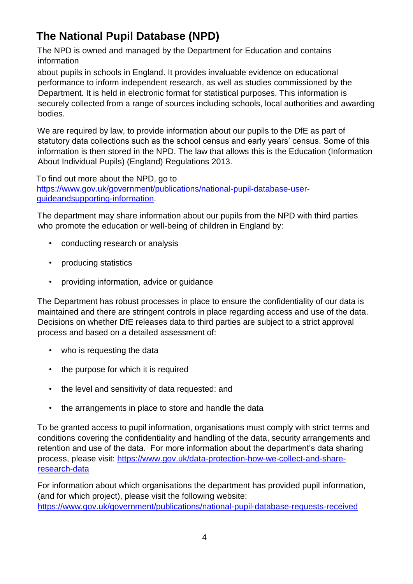## **The National Pupil Database (NPD)**

The NPD is owned and managed by the Department for Education and contains information

about pupils in schools in England. It provides invaluable evidence on educational performance to inform independent research, as well as studies commissioned by the Department. It is held in electronic format for statistical purposes. This information is securely collected from a range of sources including schools, local authorities and awarding bodies.

We are required by law, to provide information about our pupils to the DfE as part of statutory data collections such as the school census and early years' census. Some of this information is then stored in the NPD. The law that allows this is the Education (Information About Individual Pupils) (England) Regulations 2013.

To find out more about the NPD, go to [https://www.gov.uk/government/publications/national-pupil-database-user](https://www.gov.uk/government/publications/national-pupil-database-user-guide-and-supporting-information)[guideandsupporting-information.](https://www.gov.uk/government/publications/national-pupil-database-user-guide-and-supporting-information)

The department may share information about our pupils from the NPD with third parties who promote the education or well-being of children in England by:

- conducting research or analysis
- producing statistics
- providing information, advice or guidance

The Department has robust processes in place to ensure the confidentiality of our data is maintained and there are stringent controls in place regarding access and use of the data. Decisions on whether DfE releases data to third parties are subject to a strict approval process and based on a detailed assessment of:

- who is requesting the data
- the purpose for which it is required
- the level and sensitivity of data requested: and
- the arrangements in place to store and handle the data

To be granted access to pupil information, organisations must comply with strict terms and conditions covering the confidentiality and handling of the data, security arrangements and retention and use of the data. For more information about the department's data sharing process, please visit: [https://www.gov.uk/data-protection-how-we-collect-and-share](https://www.gov.uk/data-protection-how-we-collect-and-share-research-data)[research-data](https://www.gov.uk/data-protection-how-we-collect-and-share-research-data) 

For information about which organisations the department has provided pupil information, (and for which project), please visit the following website: <https://www.gov.uk/government/publications/national-pupil-database-requests-received>